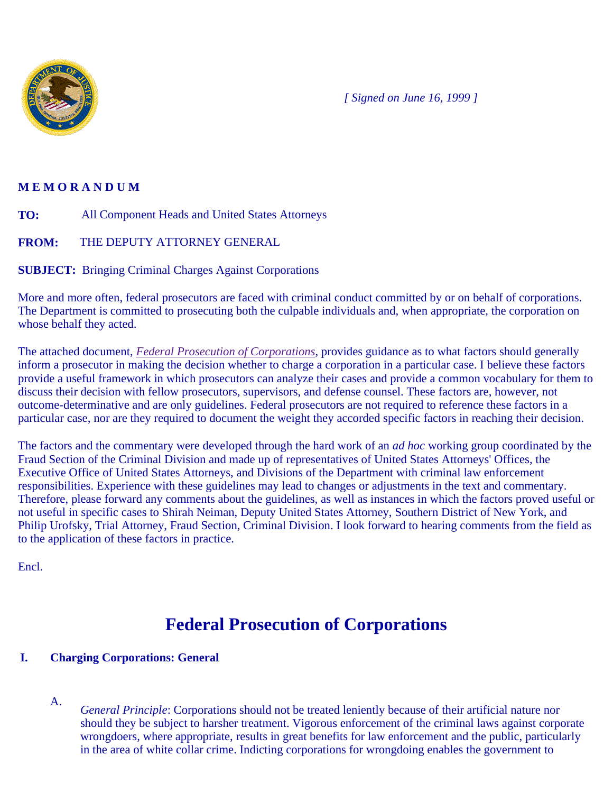*[ Signed on June 16, 1999 ]*



## **M E M O R A N D U M**

**TO:** All Component Heads and United States Attorneys

**FROM:** THE DEPUTY ATTORNEY GENERAL

**SUBJECT:** Bringing Criminal Charges Against Corporations

More and more often, federal prosecutors are faced with criminal conduct committed by or on behalf of corporations. The Department is committed to prosecuting both the culpable individuals and, when appropriate, the corporation on whose behalf they acted.

The attached document, *Federal Prosecution of Corporations*, provides guidance as to what factors should generally inform a prosecutor in making the decision whether to charge a corporation in a particular case. I believe these factors provide a useful framework in which prosecutors can analyze their cases and provide a common vocabulary for them to discuss their decision with fellow prosecutors, supervisors, and defense counsel. These factors are, however, not outcome-determinative and are only guidelines. Federal prosecutors are not required to reference these factors in a particular case, nor are they required to document the weight they accorded specific factors in reaching their decision.

The factors and the commentary were developed through the hard work of an *ad hoc* working group coordinated by the Fraud Section of the Criminal Division and made up of representatives of United States Attorneys' Offices, the Executive Office of United States Attorneys, and Divisions of the Department with criminal law enforcement responsibilities. Experience with these guidelines may lead to changes or adjustments in the text and commentary. Therefore, please forward any comments about the guidelines, as well as instances in which the factors proved useful or not useful in specific cases to Shirah Neiman, Deputy United States Attorney, Southern District of New York, and Philip Urofsky, Trial Attorney, Fraud Section, Criminal Division. I look forward to hearing comments from the field as to the application of these factors in practice.

Encl.

# **Federal Prosecution of Corporations**

## **I. Charging Corporations: General**

A.

*General Principle*: Corporations should not be treated leniently because of their artificial nature nor should they be subject to harsher treatment. Vigorous enforcement of the criminal laws against corporate wrongdoers, where appropriate, results in great benefits for law enforcement and the public, particularly in the area of white collar crime. Indicting corporations for wrongdoing enables the government to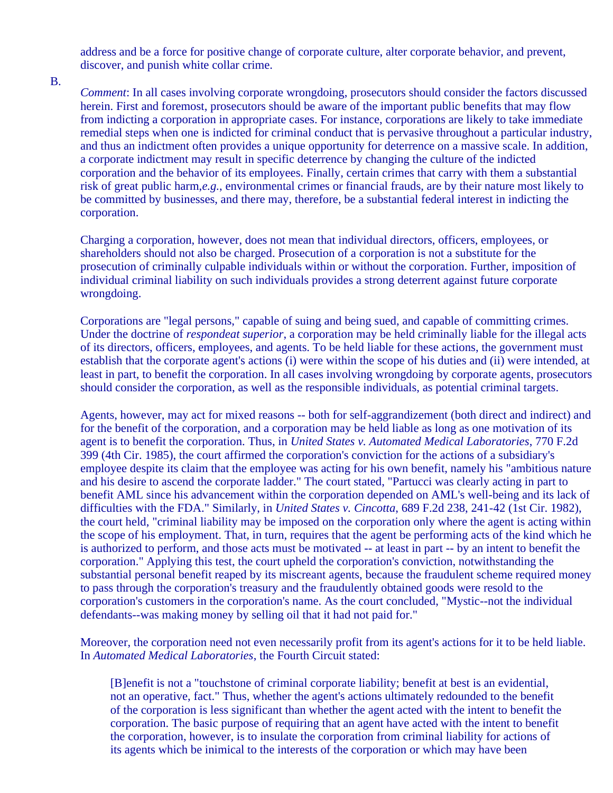address and be a force for positive change of corporate culture, alter corporate behavior, and prevent, discover, and punish white collar crime.

B.

*Comment*: In all cases involving corporate wrongdoing, prosecutors should consider the factors discussed herein. First and foremost, prosecutors should be aware of the important public benefits that may flow from indicting a corporation in appropriate cases. For instance, corporations are likely to take immediate remedial steps when one is indicted for criminal conduct that is pervasive throughout a particular industry, and thus an indictment often provides a unique opportunity for deterrence on a massive scale. In addition, a corporate indictment may result in specific deterrence by changing the culture of the indicted corporation and the behavior of its employees. Finally, certain crimes that carry with them a substantial risk of great public harm,*e.g.*, environmental crimes or financial frauds, are by their nature most likely to be committed by businesses, and there may, therefore, be a substantial federal interest in indicting the corporation.

Charging a corporation, however, does not mean that individual directors, officers, employees, or shareholders should not also be charged. Prosecution of a corporation is not a substitute for the prosecution of criminally culpable individuals within or without the corporation. Further, imposition of individual criminal liability on such individuals provides a strong deterrent against future corporate wrongdoing.

Corporations are "legal persons," capable of suing and being sued, and capable of committing crimes. Under the doctrine of *respondeat superior*, a corporation may be held criminally liable for the illegal acts of its directors, officers, employees, and agents. To be held liable for these actions, the government must establish that the corporate agent's actions (i) were within the scope of his duties and (ii) were intended, at least in part, to benefit the corporation. In all cases involving wrongdoing by corporate agents, prosecutors should consider the corporation, as well as the responsible individuals, as potential criminal targets.

Agents, however, may act for mixed reasons -- both for self-aggrandizement (both direct and indirect) and for the benefit of the corporation, and a corporation may be held liable as long as one motivation of its agent is to benefit the corporation. Thus, in *United States v. Automated Medical Laboratories*, 770 F.2d 399 (4th Cir. 1985), the court affirmed the corporation's conviction for the actions of a subsidiary's employee despite its claim that the employee was acting for his own benefit, namely his "ambitious nature and his desire to ascend the corporate ladder." The court stated, "Partucci was clearly acting in part to benefit AML since his advancement within the corporation depended on AML's well-being and its lack of difficulties with the FDA." Similarly, in *United States v. Cincotta*, 689 F.2d 238, 241-42 (1st Cir. 1982), the court held, "criminal liability may be imposed on the corporation only where the agent is acting within the scope of his employment. That, in turn, requires that the agent be performing acts of the kind which he is authorized to perform, and those acts must be motivated -- at least in part -- by an intent to benefit the corporation." Applying this test, the court upheld the corporation's conviction, notwithstanding the substantial personal benefit reaped by its miscreant agents, because the fraudulent scheme required money to pass through the corporation's treasury and the fraudulently obtained goods were resold to the corporation's customers in the corporation's name. As the court concluded, "Mystic--not the individual defendants--was making money by selling oil that it had not paid for."

Moreover, the corporation need not even necessarily profit from its agent's actions for it to be held liable. In *Automated Medical Laboratories*, the Fourth Circuit stated:

[B]enefit is not a "touchstone of criminal corporate liability; benefit at best is an evidential, not an operative, fact." Thus, whether the agent's actions ultimately redounded to the benefit of the corporation is less significant than whether the agent acted with the intent to benefit the corporation. The basic purpose of requiring that an agent have acted with the intent to benefit the corporation, however, is to insulate the corporation from criminal liability for actions of its agents which be inimical to the interests of the corporation or which may have been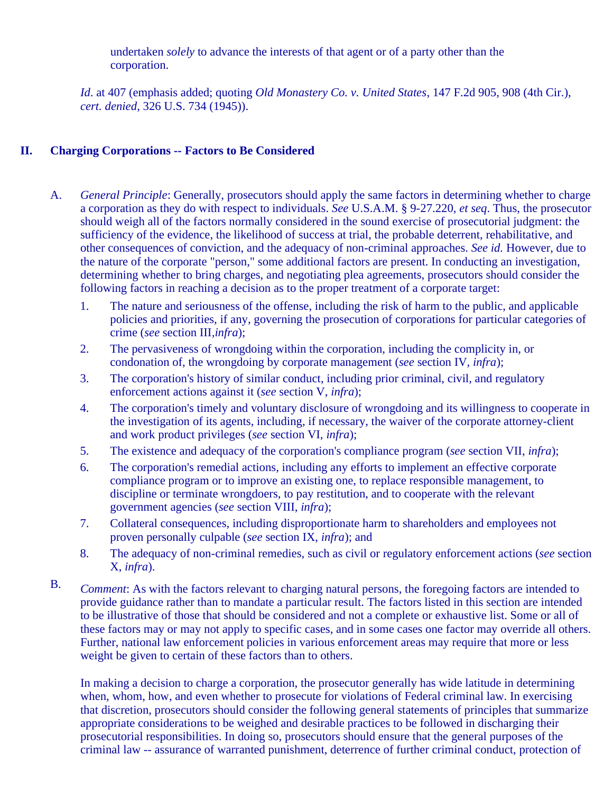undertaken *solely* to advance the interests of that agent or of a party other than the corporation.

*Id*. at 407 (emphasis added; quoting *Old Monastery Co. v. United States*, 147 F.2d 905, 908 (4th Cir.), *cert. denied*, 326 U.S. 734 (1945)).

## **II. Charging Corporations -- Factors to Be Considered**

- A. *General Principle*: Generally, prosecutors should apply the same factors in determining whether to charge a corporation as they do with respect to individuals. *See* U.S.A.M. § 9-27.220, *et seq*. Thus, the prosecutor should weigh all of the factors normally considered in the sound exercise of prosecutorial judgment: the sufficiency of the evidence, the likelihood of success at trial, the probable deterrent, rehabilitative, and other consequences of conviction, and the adequacy of non-criminal approaches. *See id.* However, due to the nature of the corporate "person," some additional factors are present. In conducting an investigation, determining whether to bring charges, and negotiating plea agreements, prosecutors should consider the following factors in reaching a decision as to the proper treatment of a corporate target:
	- 1. The nature and seriousness of the offense, including the risk of harm to the public, and applicable policies and priorities, if any, governing the prosecution of corporations for particular categories of crime (*see* section III*,infra*);
	- 2. The pervasiveness of wrongdoing within the corporation, including the complicity in, or condonation of, the wrongdoing by corporate management (*see* section IV, *infra*);
	- 3. The corporation's history of similar conduct, including prior criminal, civil, and regulatory enforcement actions against it (*see* section V, *infra*);
	- 4. The corporation's timely and voluntary disclosure of wrongdoing and its willingness to cooperate in the investigation of its agents, including, if necessary, the waiver of the corporate attorney-client and work product privileges (*see* section VI, *infra*);
	- 5. The existence and adequacy of the corporation's compliance program (*see* section VII, *infra*);
	- 6. The corporation's remedial actions, including any efforts to implement an effective corporate compliance program or to improve an existing one, to replace responsible management, to discipline or terminate wrongdoers, to pay restitution, and to cooperate with the relevant government agencies (*see* section VIII, *infra*);
	- 7. Collateral consequences, including disproportionate harm to shareholders and employees not proven personally culpable (*see* section IX, *infra*); and
	- 8. The adequacy of non-criminal remedies, such as civil or regulatory enforcement actions (*see* section X, *infra*).
- B. *Comment*: As with the factors relevant to charging natural persons, the foregoing factors are intended to provide guidance rather than to mandate a particular result. The factors listed in this section are intended to be illustrative of those that should be considered and not a complete or exhaustive list. Some or all of these factors may or may not apply to specific cases, and in some cases one factor may override all others. Further, national law enforcement policies in various enforcement areas may require that more or less weight be given to certain of these factors than to others.

In making a decision to charge a corporation, the prosecutor generally has wide latitude in determining when, whom, how, and even whether to prosecute for violations of Federal criminal law. In exercising that discretion, prosecutors should consider the following general statements of principles that summarize appropriate considerations to be weighed and desirable practices to be followed in discharging their prosecutorial responsibilities. In doing so, prosecutors should ensure that the general purposes of the criminal law -- assurance of warranted punishment, deterrence of further criminal conduct, protection of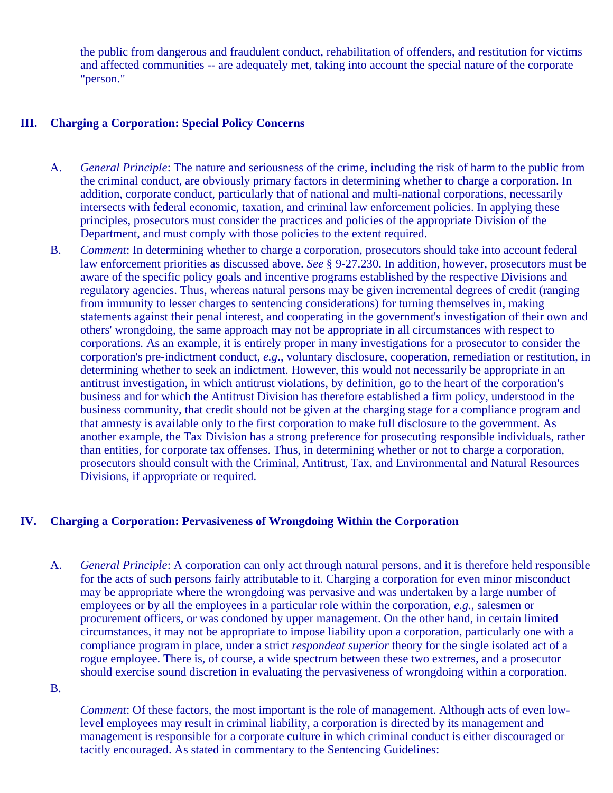the public from dangerous and fraudulent conduct, rehabilitation of offenders, and restitution for victims and affected communities -- are adequately met, taking into account the special nature of the corporate "person."

### **III. Charging a Corporation: Special Policy Concerns**

- A. *General Principle*: The nature and seriousness of the crime, including the risk of harm to the public from the criminal conduct, are obviously primary factors in determining whether to charge a corporation. In addition, corporate conduct, particularly that of national and multi-national corporations, necessarily intersects with federal economic, taxation, and criminal law enforcement policies. In applying these principles, prosecutors must consider the practices and policies of the appropriate Division of the Department, and must comply with those policies to the extent required.
- B. *Comment*: In determining whether to charge a corporation, prosecutors should take into account federal law enforcement priorities as discussed above. *See* § 9-27.230. In addition, however, prosecutors must be aware of the specific policy goals and incentive programs established by the respective Divisions and regulatory agencies. Thus, whereas natural persons may be given incremental degrees of credit (ranging from immunity to lesser charges to sentencing considerations) for turning themselves in, making statements against their penal interest, and cooperating in the government's investigation of their own and others' wrongdoing, the same approach may not be appropriate in all circumstances with respect to corporations. As an example, it is entirely proper in many investigations for a prosecutor to consider the corporation's pre-indictment conduct, *e.g*., voluntary disclosure, cooperation, remediation or restitution, in determining whether to seek an indictment. However, this would not necessarily be appropriate in an antitrust investigation, in which antitrust violations, by definition, go to the heart of the corporation's business and for which the Antitrust Division has therefore established a firm policy, understood in the business community, that credit should not be given at the charging stage for a compliance program and that amnesty is available only to the first corporation to make full disclosure to the government. As another example, the Tax Division has a strong preference for prosecuting responsible individuals, rather than entities, for corporate tax offenses. Thus, in determining whether or not to charge a corporation, prosecutors should consult with the Criminal, Antitrust, Tax, and Environmental and Natural Resources Divisions, if appropriate or required.

## **IV. Charging a Corporation: Pervasiveness of Wrongdoing Within the Corporation**

- A. *General Principle*: A corporation can only act through natural persons, and it is therefore held responsible for the acts of such persons fairly attributable to it. Charging a corporation for even minor misconduct may be appropriate where the wrongdoing was pervasive and was undertaken by a large number of employees or by all the employees in a particular role within the corporation, *e.g*., salesmen or procurement officers, or was condoned by upper management. On the other hand, in certain limited circumstances, it may not be appropriate to impose liability upon a corporation, particularly one with a compliance program in place, under a strict *respondeat superior* theory for the single isolated act of a rogue employee. There is, of course, a wide spectrum between these two extremes, and a prosecutor should exercise sound discretion in evaluating the pervasiveness of wrongdoing within a corporation.
- B.

*Comment*: Of these factors, the most important is the role of management. Although acts of even lowlevel employees may result in criminal liability, a corporation is directed by its management and management is responsible for a corporate culture in which criminal conduct is either discouraged or tacitly encouraged. As stated in commentary to the Sentencing Guidelines: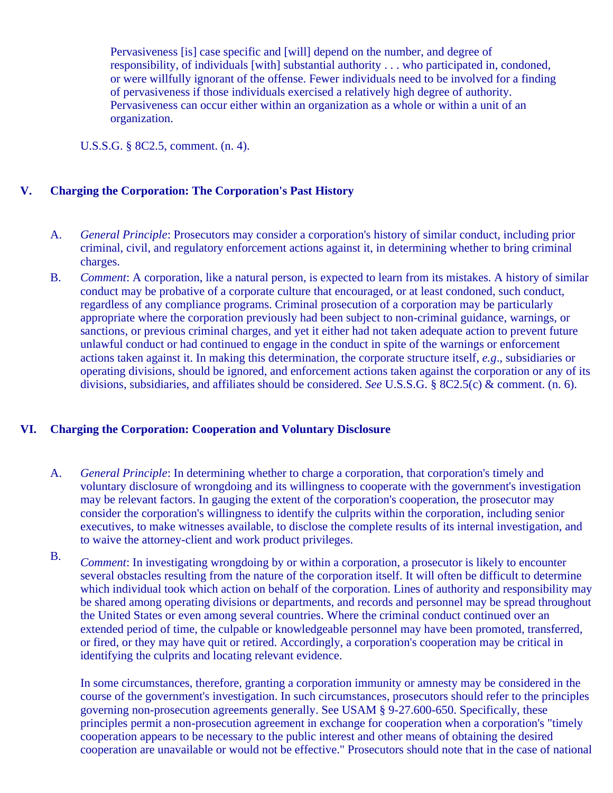Pervasiveness [is] case specific and [will] depend on the number, and degree of responsibility, of individuals [with] substantial authority . . . who participated in, condoned, or were willfully ignorant of the offense. Fewer individuals need to be involved for a finding of pervasiveness if those individuals exercised a relatively high degree of authority. Pervasiveness can occur either within an organization as a whole or within a unit of an organization.

U.S.S.G. § 8C2.5, comment. (n. 4).

### **V. Charging the Corporation: The Corporation's Past History**

- A. *General Principle*: Prosecutors may consider a corporation's history of similar conduct, including prior criminal, civil, and regulatory enforcement actions against it, in determining whether to bring criminal charges.
- B. *Comment*: A corporation, like a natural person, is expected to learn from its mistakes. A history of similar conduct may be probative of a corporate culture that encouraged, or at least condoned, such conduct, regardless of any compliance programs. Criminal prosecution of a corporation may be particularly appropriate where the corporation previously had been subject to non-criminal guidance, warnings, or sanctions, or previous criminal charges, and yet it either had not taken adequate action to prevent future unlawful conduct or had continued to engage in the conduct in spite of the warnings or enforcement actions taken against it. In making this determination, the corporate structure itself, *e.g*., subsidiaries or operating divisions, should be ignored, and enforcement actions taken against the corporation or any of its divisions, subsidiaries, and affiliates should be considered. *See* U.S.S.G. § 8C2.5(c) & comment. (n. 6).

#### **VI. Charging the Corporation: Cooperation and Voluntary Disclosure**

- A. *General Principle*: In determining whether to charge a corporation, that corporation's timely and voluntary disclosure of wrongdoing and its willingness to cooperate with the government's investigation may be relevant factors. In gauging the extent of the corporation's cooperation, the prosecutor may consider the corporation's willingness to identify the culprits within the corporation, including senior executives, to make witnesses available, to disclose the complete results of its internal investigation, and to waive the attorney-client and work product privileges.
- B. *Comment*: In investigating wrongdoing by or within a corporation, a prosecutor is likely to encounter several obstacles resulting from the nature of the corporation itself. It will often be difficult to determine which individual took which action on behalf of the corporation. Lines of authority and responsibility may be shared among operating divisions or departments, and records and personnel may be spread throughout the United States or even among several countries. Where the criminal conduct continued over an extended period of time, the culpable or knowledgeable personnel may have been promoted, transferred, or fired, or they may have quit or retired. Accordingly, a corporation's cooperation may be critical in identifying the culprits and locating relevant evidence.

In some circumstances, therefore, granting a corporation immunity or amnesty may be considered in the course of the government's investigation. In such circumstances, prosecutors should refer to the principles governing non-prosecution agreements generally. See USAM § 9-27.600-650. Specifically, these principles permit a non-prosecution agreement in exchange for cooperation when a corporation's "timely cooperation appears to be necessary to the public interest and other means of obtaining the desired cooperation are unavailable or would not be effective." Prosecutors should note that in the case of national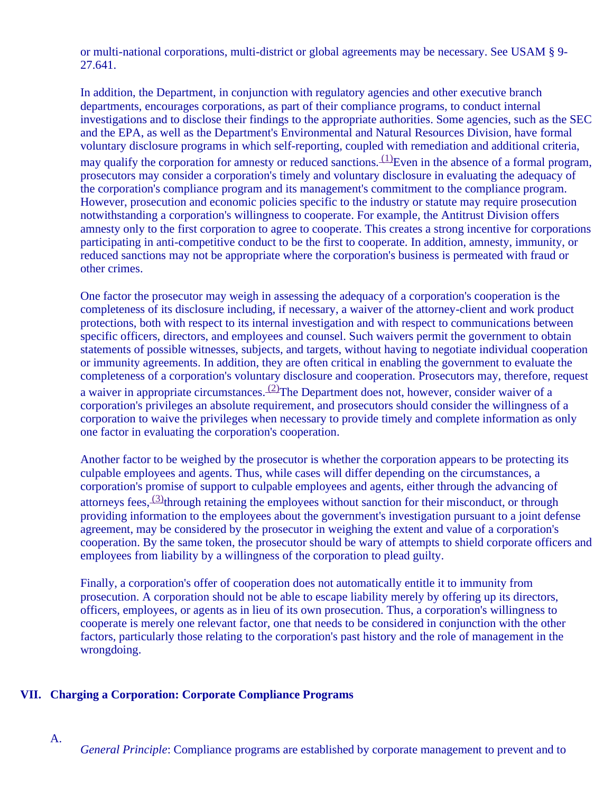or multi-national corporations, multi-district or global agreements may be necessary. See USAM § 9- 27.641.

In addition, the Department, in conjunction with regulatory agencies and other executive branch departments, encourages corporations, as part of their compliance programs, to conduct internal investigations and to disclose their findings to the appropriate authorities. Some agencies, such as the SEC and the EPA, as well as the Department's Environmental and Natural Resources Division, have formal voluntary disclosure programs in which self-reporting, coupled with remediation and additional criteria, may qualify the corporation for amnesty or reduced sanctions.  $(1)$  Even in the absence of a formal program, prosecutors may consider a corporation's timely and voluntary disclosure in evaluating the adequacy of the corporation's compliance program and its management's commitment to the compliance program. However, prosecution and economic policies specific to the industry or statute may require prosecution notwithstanding a corporation's willingness to cooperate. For example, the Antitrust Division offers amnesty only to the first corporation to agree to cooperate. This creates a strong incentive for corporations participating in anti-competitive conduct to be the first to cooperate. In addition, amnesty, immunity, or reduced sanctions may not be appropriate where the corporation's business is permeated with fraud or other crimes.

One factor the prosecutor may weigh in assessing the adequacy of a corporation's cooperation is the completeness of its disclosure including, if necessary, a waiver of the attorney-client and work product protections, both with respect to its internal investigation and with respect to communications between specific officers, directors, and employees and counsel. Such waivers permit the government to obtain statements of possible witnesses, subjects, and targets, without having to negotiate individual cooperation or immunity agreements. In addition, they are often critical in enabling the government to evaluate the completeness of a corporation's voluntary disclosure and cooperation. Prosecutors may, therefore, request a waiver in appropriate circumstances.  $(2)$ The Department does not, however, consider waiver of a corporation's privileges an absolute requirement, and prosecutors should consider the willingness of a corporation to waive the privileges when necessary to provide timely and complete information as only one factor in evaluating the corporation's cooperation.

Another factor to be weighed by the prosecutor is whether the corporation appears to be protecting its culpable employees and agents. Thus, while cases will differ depending on the circumstances, a corporation's promise of support to culpable employees and agents, either through the advancing of attorneys fees,  $(3)$  through retaining the employees without sanction for their misconduct, or through providing information to the employees about the government's investigation pursuant to a joint defense agreement, may be considered by the prosecutor in weighing the extent and value of a corporation's cooperation. By the same token, the prosecutor should be wary of attempts to shield corporate officers and employees from liability by a willingness of the corporation to plead guilty.

Finally, a corporation's offer of cooperation does not automatically entitle it to immunity from prosecution. A corporation should not be able to escape liability merely by offering up its directors, officers, employees, or agents as in lieu of its own prosecution. Thus, a corporation's willingness to cooperate is merely one relevant factor, one that needs to be considered in conjunction with the other factors, particularly those relating to the corporation's past history and the role of management in the wrongdoing.

#### **VII. Charging a Corporation: Corporate Compliance Programs**

A.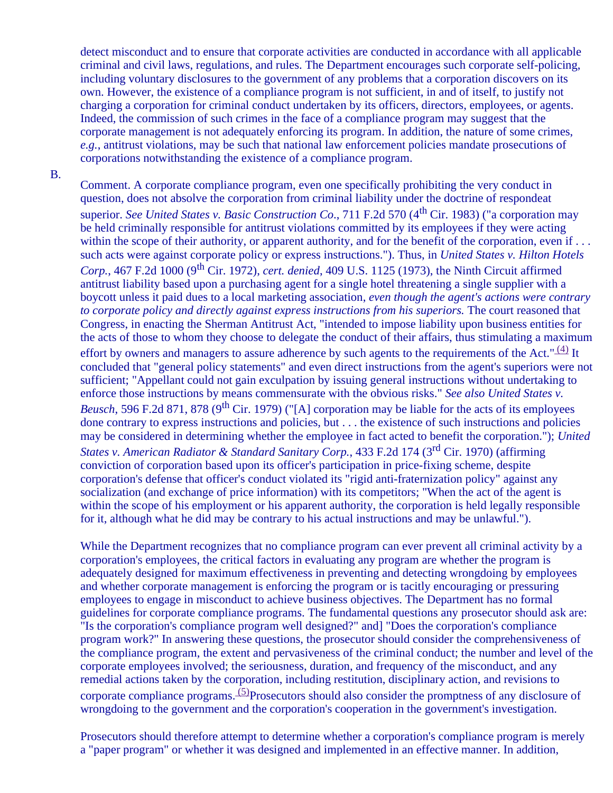detect misconduct and to ensure that corporate activities are conducted in accordance with all applicable criminal and civil laws, regulations, and rules. The Department encourages such corporate self-policing, including voluntary disclosures to the government of any problems that a corporation discovers on its own. However, the existence of a compliance program is not sufficient, in and of itself, to justify not charging a corporation for criminal conduct undertaken by its officers, directors, employees, or agents. Indeed, the commission of such crimes in the face of a compliance program may suggest that the corporate management is not adequately enforcing its program. In addition, the nature of some crimes, *e.g.*, antitrust violations, may be such that national law enforcement policies mandate prosecutions of corporations notwithstanding the existence of a compliance program.

B.

Comment. A corporate compliance program, even one specifically prohibiting the very conduct in question, does not absolve the corporation from criminal liability under the doctrine of respondeat superior. *See United States v. Basic Construction Co*., 711 F.2d 570 (4 th Cir. 1983) ("a corporation may be held criminally responsible for antitrust violations committed by its employees if they were acting within the scope of their authority, or apparent authority, and for the benefit of the corporation, even if ... such acts were against corporate policy or express instructions."). Thus, in *United States v. Hilton Hotels* Corp., 467 F.2d 1000 (9<sup>th</sup> Cir. 1972), *cert. denied*, 409 U.S. 1125 (1973), the Ninth Circuit affirmed antitrust liability based upon a purchasing agent for a single hotel threatening a single supplier with a boycott unless it paid dues to a local marketing association, *even though the agent's actions were contrary to corporate policy and directly against express instructions from his superiors.* The court reasoned that Congress, in enacting the Sherman Antitrust Act, "intended to impose liability upon business entities for the acts of those to whom they choose to delegate the conduct of their affairs, thus stimulating a maximum effort by owners and managers to assure adherence by such agents to the requirements of the Act." $(4)$  It concluded that "general policy statements" and even direct instructions from the agent's superiors were not sufficient; "Appellant could not gain exculpation by issuing general instructions without undertaking to enforce those instructions by means commensurate with the obvious risks." *See also United States v. Beusch*, 596 F.2d 871, 878 (9<sup>th</sup> Cir. 1979) ("[A] corporation may be liable for the acts of its employees done contrary to express instructions and policies, but . . . the existence of such instructions and policies may be considered in determining whether the employee in fact acted to benefit the corporation."); *United States v. American Radiator & Standard Sanitary Corp.*, 433 F.2d 174 (3 rd Cir. 1970) (affirming conviction of corporation based upon its officer's participation in price-fixing scheme, despite corporation's defense that officer's conduct violated its "rigid anti-fraternization policy" against any socialization (and exchange of price information) with its competitors; "When the act of the agent is within the scope of his employment or his apparent authority, the corporation is held legally responsible for it, although what he did may be contrary to his actual instructions and may be unlawful.").

While the Department recognizes that no compliance program can ever prevent all criminal activity by a corporation's employees, the critical factors in evaluating any program are whether the program is adequately designed for maximum effectiveness in preventing and detecting wrongdoing by employees and whether corporate management is enforcing the program or is tacitly encouraging or pressuring employees to engage in misconduct to achieve business objectives. The Department has no formal guidelines for corporate compliance programs. The fundamental questions any prosecutor should ask are: "Is the corporation's compliance program well designed?" and] "Does the corporation's compliance program work?" In answering these questions, the prosecutor should consider the comprehensiveness of the compliance program, the extent and pervasiveness of the criminal conduct; the number and level of the corporate employees involved; the seriousness, duration, and frequency of the misconduct, and any remedial actions taken by the corporation, including restitution, disciplinary action, and revisions to corporate compliance programs. <sup>(5)</sup>Prosecutors should also consider the promptness of any disclosure of wrongdoing to the government and the corporation's cooperation in the government's investigation.

Prosecutors should therefore attempt to determine whether a corporation's compliance program is merely a "paper program" or whether it was designed and implemented in an effective manner. In addition,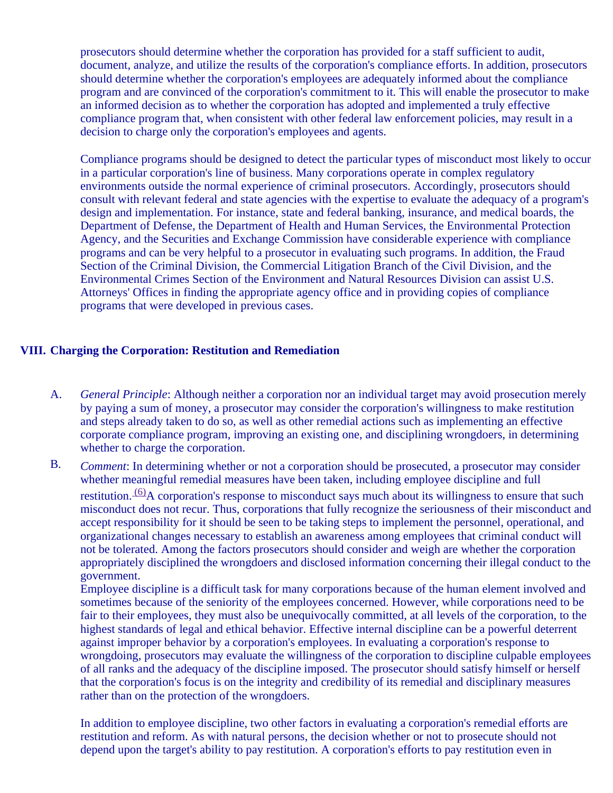prosecutors should determine whether the corporation has provided for a staff sufficient to audit, document, analyze, and utilize the results of the corporation's compliance efforts. In addition, prosecutors should determine whether the corporation's employees are adequately informed about the compliance program and are convinced of the corporation's commitment to it. This will enable the prosecutor to make an informed decision as to whether the corporation has adopted and implemented a truly effective compliance program that, when consistent with other federal law enforcement policies, may result in a decision to charge only the corporation's employees and agents.

Compliance programs should be designed to detect the particular types of misconduct most likely to occur in a particular corporation's line of business. Many corporations operate in complex regulatory environments outside the normal experience of criminal prosecutors. Accordingly, prosecutors should consult with relevant federal and state agencies with the expertise to evaluate the adequacy of a program's design and implementation. For instance, state and federal banking, insurance, and medical boards, the Department of Defense, the Department of Health and Human Services, the Environmental Protection Agency, and the Securities and Exchange Commission have considerable experience with compliance programs and can be very helpful to a prosecutor in evaluating such programs. In addition, the Fraud Section of the Criminal Division, the Commercial Litigation Branch of the Civil Division, and the Environmental Crimes Section of the Environment and Natural Resources Division can assist U.S. Attorneys' Offices in finding the appropriate agency office and in providing copies of compliance programs that were developed in previous cases.

### **VIII. Charging the Corporation: Restitution and Remediation**

- A. *General Principle*: Although neither a corporation nor an individual target may avoid prosecution merely by paying a sum of money, a prosecutor may consider the corporation's willingness to make restitution and steps already taken to do so, as well as other remedial actions such as implementing an effective corporate compliance program, improving an existing one, and disciplining wrongdoers, in determining whether to charge the corporation.
- B. *Comment*: In determining whether or not a corporation should be prosecuted, a prosecutor may consider whether meaningful remedial measures have been taken, including employee discipline and full restitution. <sup>(6)</sup>A corporation's response to misconduct says much about its willingness to ensure that such misconduct does not recur. Thus, corporations that fully recognize the seriousness of their misconduct and accept responsibility for it should be seen to be taking steps to implement the personnel, operational, and organizational changes necessary to establish an awareness among employees that criminal conduct will not be tolerated. Among the factors prosecutors should consider and weigh are whether the corporation appropriately disciplined the wrongdoers and disclosed information concerning their illegal conduct to the government.

Employee discipline is a difficult task for many corporations because of the human element involved and sometimes because of the seniority of the employees concerned. However, while corporations need to be fair to their employees, they must also be unequivocally committed, at all levels of the corporation, to the highest standards of legal and ethical behavior. Effective internal discipline can be a powerful deterrent against improper behavior by a corporation's employees. In evaluating a corporation's response to wrongdoing, prosecutors may evaluate the willingness of the corporation to discipline culpable employees of all ranks and the adequacy of the discipline imposed. The prosecutor should satisfy himself or herself that the corporation's focus is on the integrity and credibility of its remedial and disciplinary measures rather than on the protection of the wrongdoers.

In addition to employee discipline, two other factors in evaluating a corporation's remedial efforts are restitution and reform. As with natural persons, the decision whether or not to prosecute should not depend upon the target's ability to pay restitution. A corporation's efforts to pay restitution even in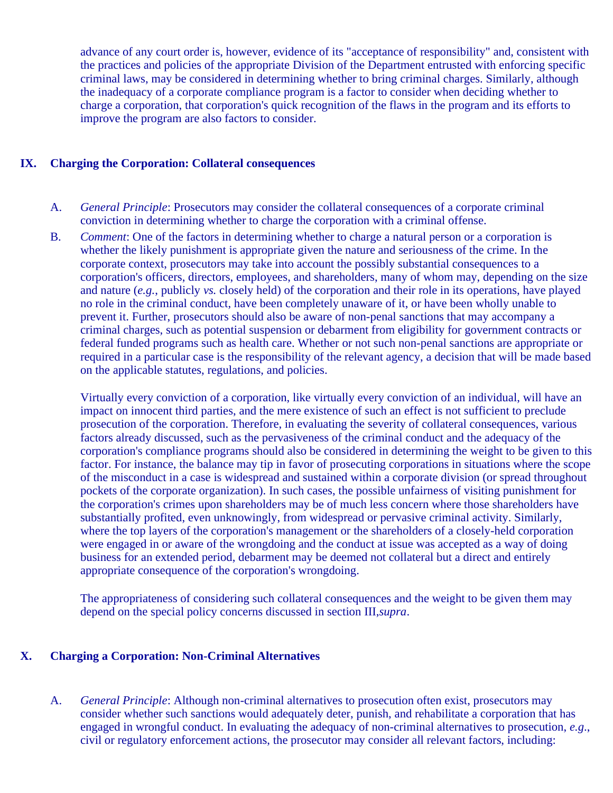advance of any court order is, however, evidence of its "acceptance of responsibility" and, consistent with the practices and policies of the appropriate Division of the Department entrusted with enforcing specific criminal laws, may be considered in determining whether to bring criminal charges. Similarly, although the inadequacy of a corporate compliance program is a factor to consider when deciding whether to charge a corporation, that corporation's quick recognition of the flaws in the program and its efforts to improve the program are also factors to consider.

#### **IX. Charging the Corporation: Collateral consequences**

- A. *General Principle*: Prosecutors may consider the collateral consequences of a corporate criminal conviction in determining whether to charge the corporation with a criminal offense.
- B. *Comment*: One of the factors in determining whether to charge a natural person or a corporation is whether the likely punishment is appropriate given the nature and seriousness of the crime. In the corporate context, prosecutors may take into account the possibly substantial consequences to a corporation's officers, directors, employees, and shareholders, many of whom may, depending on the size and nature (*e.g.*, publicly *vs.* closely held) of the corporation and their role in its operations, have played no role in the criminal conduct, have been completely unaware of it, or have been wholly unable to prevent it. Further, prosecutors should also be aware of non-penal sanctions that may accompany a criminal charges, such as potential suspension or debarment from eligibility for government contracts or federal funded programs such as health care. Whether or not such non-penal sanctions are appropriate or required in a particular case is the responsibility of the relevant agency, a decision that will be made based on the applicable statutes, regulations, and policies.

Virtually every conviction of a corporation, like virtually every conviction of an individual, will have an impact on innocent third parties, and the mere existence of such an effect is not sufficient to preclude prosecution of the corporation. Therefore, in evaluating the severity of collateral consequences, various factors already discussed, such as the pervasiveness of the criminal conduct and the adequacy of the corporation's compliance programs should also be considered in determining the weight to be given to this factor. For instance, the balance may tip in favor of prosecuting corporations in situations where the scope of the misconduct in a case is widespread and sustained within a corporate division (or spread throughout pockets of the corporate organization). In such cases, the possible unfairness of visiting punishment for the corporation's crimes upon shareholders may be of much less concern where those shareholders have substantially profited, even unknowingly, from widespread or pervasive criminal activity. Similarly, where the top layers of the corporation's management or the shareholders of a closely-held corporation were engaged in or aware of the wrongdoing and the conduct at issue was accepted as a way of doing business for an extended period, debarment may be deemed not collateral but a direct and entirely appropriate consequence of the corporation's wrongdoing.

The appropriateness of considering such collateral consequences and the weight to be given them may depend on the special policy concerns discussed in section III,*supra*.

#### **X. Charging a Corporation: Non-Criminal Alternatives**

A. *General Principle*: Although non-criminal alternatives to prosecution often exist, prosecutors may consider whether such sanctions would adequately deter, punish, and rehabilitate a corporation that has engaged in wrongful conduct. In evaluating the adequacy of non-criminal alternatives to prosecution, *e.g*., civil or regulatory enforcement actions, the prosecutor may consider all relevant factors, including: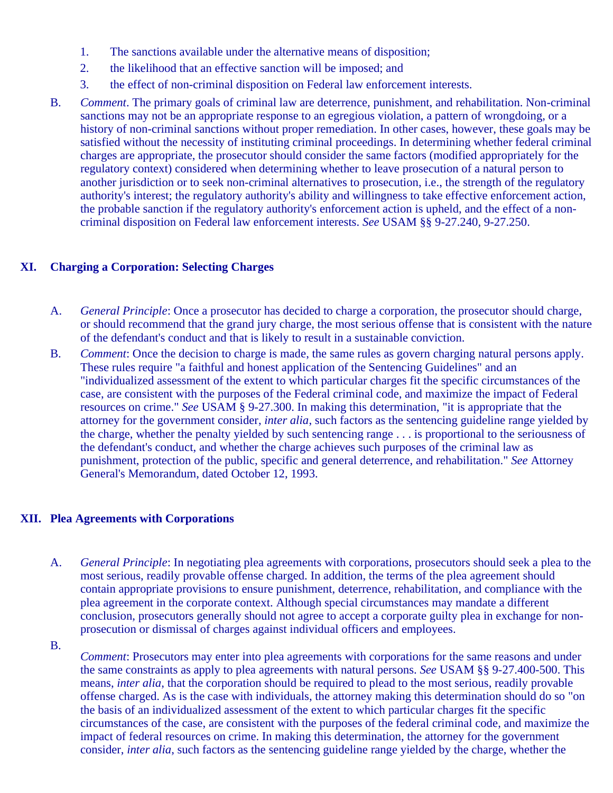- 1. The sanctions available under the alternative means of disposition;
- 2. the likelihood that an effective sanction will be imposed; and
- 3. the effect of non-criminal disposition on Federal law enforcement interests.
- B. *Comment*. The primary goals of criminal law are deterrence, punishment, and rehabilitation. Non-criminal sanctions may not be an appropriate response to an egregious violation, a pattern of wrongdoing, or a history of non-criminal sanctions without proper remediation. In other cases, however, these goals may be satisfied without the necessity of instituting criminal proceedings. In determining whether federal criminal charges are appropriate, the prosecutor should consider the same factors (modified appropriately for the regulatory context) considered when determining whether to leave prosecution of a natural person to another jurisdiction or to seek non-criminal alternatives to prosecution, i.e., the strength of the regulatory authority's interest; the regulatory authority's ability and willingness to take effective enforcement action, the probable sanction if the regulatory authority's enforcement action is upheld, and the effect of a noncriminal disposition on Federal law enforcement interests. *See* USAM §§ 9-27.240, 9-27.250.

## **XI. Charging a Corporation: Selecting Charges**

- A. *General Principle*: Once a prosecutor has decided to charge a corporation, the prosecutor should charge, or should recommend that the grand jury charge, the most serious offense that is consistent with the nature of the defendant's conduct and that is likely to result in a sustainable conviction.
- B. *Comment*: Once the decision to charge is made, the same rules as govern charging natural persons apply. These rules require "a faithful and honest application of the Sentencing Guidelines" and an "individualized assessment of the extent to which particular charges fit the specific circumstances of the case, are consistent with the purposes of the Federal criminal code, and maximize the impact of Federal resources on crime." *See* USAM § 9-27.300. In making this determination, "it is appropriate that the attorney for the government consider, *inter alia*, such factors as the sentencing guideline range yielded by the charge, whether the penalty yielded by such sentencing range . . . is proportional to the seriousness of the defendant's conduct, and whether the charge achieves such purposes of the criminal law as punishment, protection of the public, specific and general deterrence, and rehabilitation." *See* Attorney General's Memorandum, dated October 12, 1993.

## **XII. Plea Agreements with Corporations**

- A. *General Principle*: In negotiating plea agreements with corporations, prosecutors should seek a plea to the most serious, readily provable offense charged. In addition, the terms of the plea agreement should contain appropriate provisions to ensure punishment, deterrence, rehabilitation, and compliance with the plea agreement in the corporate context. Although special circumstances may mandate a different conclusion, prosecutors generally should not agree to accept a corporate guilty plea in exchange for nonprosecution or dismissal of charges against individual officers and employees.
- B.

*Comment*: Prosecutors may enter into plea agreements with corporations for the same reasons and under the same constraints as apply to plea agreements with natural persons. *See* USAM §§ 9-27.400-500. This means, *inter alia*, that the corporation should be required to plead to the most serious, readily provable offense charged. As is the case with individuals, the attorney making this determination should do so "on the basis of an individualized assessment of the extent to which particular charges fit the specific circumstances of the case, are consistent with the purposes of the federal criminal code, and maximize the impact of federal resources on crime. In making this determination, the attorney for the government consider, *inter alia*, such factors as the sentencing guideline range yielded by the charge, whether the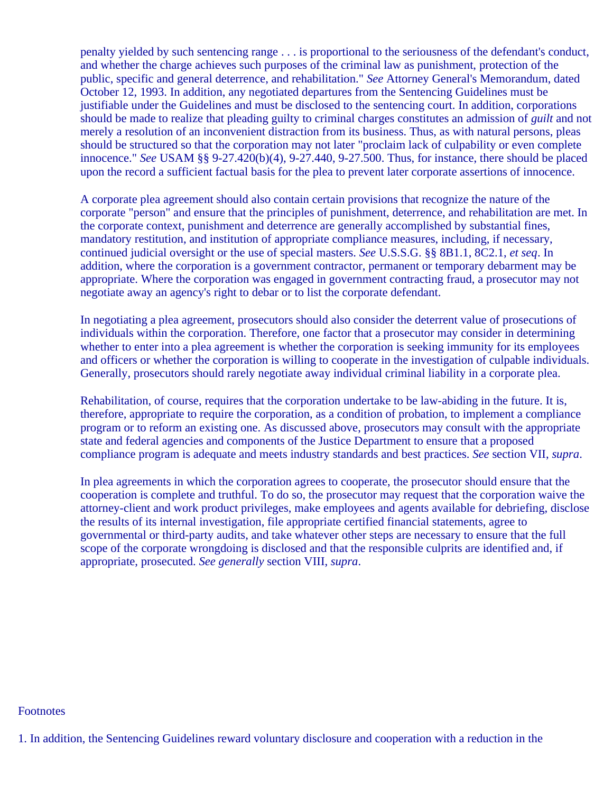penalty yielded by such sentencing range . . . is proportional to the seriousness of the defendant's conduct, and whether the charge achieves such purposes of the criminal law as punishment, protection of the public, specific and general deterrence, and rehabilitation." *See* Attorney General's Memorandum, dated October 12, 1993. In addition, any negotiated departures from the Sentencing Guidelines must be justifiable under the Guidelines and must be disclosed to the sentencing court. In addition, corporations should be made to realize that pleading guilty to criminal charges constitutes an admission of *guilt* and not merely a resolution of an inconvenient distraction from its business. Thus, as with natural persons, pleas should be structured so that the corporation may not later "proclaim lack of culpability or even complete innocence." *See* USAM §§ 9-27.420(b)(4), 9-27.440, 9-27.500. Thus, for instance, there should be placed upon the record a sufficient factual basis for the plea to prevent later corporate assertions of innocence.

A corporate plea agreement should also contain certain provisions that recognize the nature of the corporate "person" and ensure that the principles of punishment, deterrence, and rehabilitation are met. In the corporate context, punishment and deterrence are generally accomplished by substantial fines, mandatory restitution, and institution of appropriate compliance measures, including, if necessary, continued judicial oversight or the use of special masters. *See* U.S.S.G. §§ 8B1.1, 8C2.1, *et seq*. In addition, where the corporation is a government contractor, permanent or temporary debarment may be appropriate. Where the corporation was engaged in government contracting fraud, a prosecutor may not negotiate away an agency's right to debar or to list the corporate defendant.

In negotiating a plea agreement, prosecutors should also consider the deterrent value of prosecutions of individuals within the corporation. Therefore, one factor that a prosecutor may consider in determining whether to enter into a plea agreement is whether the corporation is seeking immunity for its employees and officers or whether the corporation is willing to cooperate in the investigation of culpable individuals. Generally, prosecutors should rarely negotiate away individual criminal liability in a corporate plea.

Rehabilitation, of course, requires that the corporation undertake to be law-abiding in the future. It is, therefore, appropriate to require the corporation, as a condition of probation, to implement a compliance program or to reform an existing one. As discussed above, prosecutors may consult with the appropriate state and federal agencies and components of the Justice Department to ensure that a proposed compliance program is adequate and meets industry standards and best practices. *See* section VII, *supra*.

In plea agreements in which the corporation agrees to cooperate, the prosecutor should ensure that the cooperation is complete and truthful. To do so, the prosecutor may request that the corporation waive the attorney-client and work product privileges, make employees and agents available for debriefing, disclose the results of its internal investigation, file appropriate certified financial statements, agree to governmental or third-party audits, and take whatever other steps are necessary to ensure that the full scope of the corporate wrongdoing is disclosed and that the responsible culprits are identified and, if appropriate, prosecuted. *See generally* section VIII, *supra*.

#### **Footnotes**

1. In addition, the Sentencing Guidelines reward voluntary disclosure and cooperation with a reduction in the